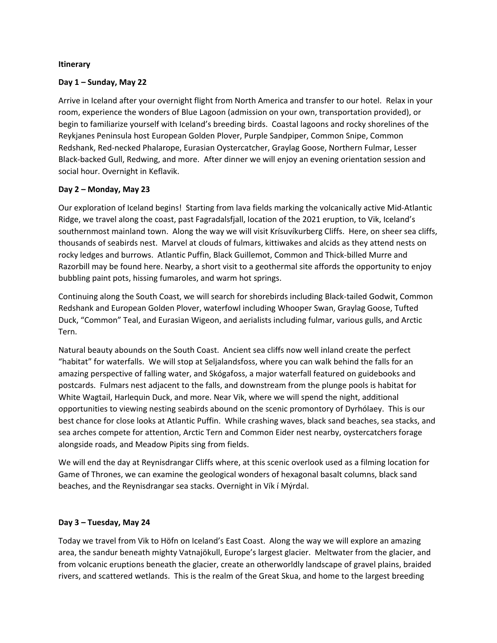### **Itinerary**

### **Day 1 – Sunday, May 22**

Arrive in Iceland after your overnight flight from North America and transfer to our hotel. Relax in your room, experience the wonders of Blue Lagoon (admission on your own, transportation provided), or begin to familiarize yourself with Iceland's breeding birds. Coastal lagoons and rocky shorelines of the Reykjanes Peninsula host European Golden Plover, Purple Sandpiper, Common Snipe, Common Redshank, Red-necked Phalarope, Eurasian Oystercatcher, Graylag Goose, Northern Fulmar, Lesser Black-backed Gull, Redwing, and more. After dinner we will enjoy an evening orientation session and social hour. Overnight in Keflavik.

# **Day 2 – Monday, May 23**

Our exploration of Iceland begins! Starting from lava fields marking the volcanically active Mid-Atlantic Ridge, we travel along the coast, past Fagradalsfjall, location of the 2021 eruption, to Vik, Iceland's southernmost mainland town. Along the way we will visit Krísuvíkurberg Cliffs. Here, on sheer sea cliffs, thousands of seabirds nest. Marvel at clouds of fulmars, kittiwakes and alcids as they attend nests on rocky ledges and burrows. Atlantic Puffin, Black Guillemot, Common and Thick-billed Murre and Razorbill may be found here. Nearby, a short visit to a geothermal site affords the opportunity to enjoy bubbling paint pots, hissing fumaroles, and warm hot springs.

Continuing along the South Coast, we will search for shorebirds including Black-tailed Godwit, Common Redshank and European Golden Plover, waterfowl including Whooper Swan, Graylag Goose, Tufted Duck, "Common" Teal, and Eurasian Wigeon, and aerialists including fulmar, various gulls, and Arctic Tern.

Natural beauty abounds on the South Coast. Ancient sea cliffs now well inland create the perfect "habitat" for waterfalls. We will stop at Seljalandsfoss, where you can walk behind the falls for an amazing perspective of falling water, and Skógafoss, a major waterfall featured on guidebooks and postcards. Fulmars nest adjacent to the falls, and downstream from the plunge pools is habitat for White Wagtail, Harlequin Duck, and more. Near Vik, where we will spend the night, additional opportunities to viewing nesting seabirds abound on the scenic promontory of Dyrhólaey. This is our best chance for close looks at Atlantic Puffin. While crashing waves, black sand beaches, sea stacks, and sea arches compete for attention, Arctic Tern and Common Eider nest nearby, oystercatchers forage alongside roads, and Meadow Pipits sing from fields.

We will end the day at Reynisdrangar Cliffs where, at this scenic overlook used as a filming location for Game of Thrones, we can examine the geological wonders of hexagonal basalt columns, black sand beaches, and the Reynisdrangar sea stacks. Overnight in Vík í Mýrdal.

### **Day 3 – Tuesday, May 24**

Today we travel from Vik to Höfn on Iceland's East Coast. Along the way we will explore an amazing area, the sandur beneath mighty Vatnajökull, Europe's largest glacier. Meltwater from the glacier, and from volcanic eruptions beneath the glacier, create an otherworldly landscape of gravel plains, braided rivers, and scattered wetlands. This is the realm of the Great Skua, and home to the largest breeding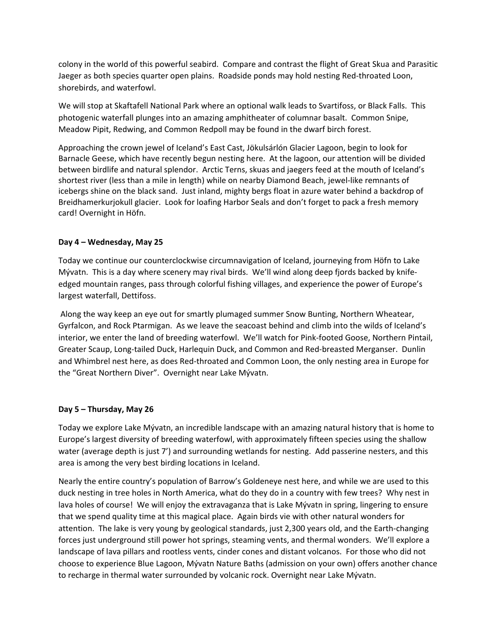colony in the world of this powerful seabird. Compare and contrast the flight of Great Skua and Parasitic Jaeger as both species quarter open plains. Roadside ponds may hold nesting Red-throated Loon, shorebirds, and waterfowl.

We will stop at Skaftafell National Park where an optional walk leads to Svartifoss, or Black Falls. This photogenic waterfall plunges into an amazing amphitheater of columnar basalt. Common Snipe, Meadow Pipit, Redwing, and Common Redpoll may be found in the dwarf birch forest.

Approaching the crown jewel of Iceland's East Cast, Jökulsárlón Glacier Lagoon, begin to look for Barnacle Geese, which have recently begun nesting here. At the lagoon, our attention will be divided between birdlife and natural splendor. Arctic Terns, skuas and jaegers feed at the mouth of Iceland's shortest river (less than a mile in length) while on nearby Diamond Beach, jewel-like remnants of icebergs shine on the black sand. Just inland, mighty bergs float in azure water behind a backdrop of Breidhamerkurjokull glacier. Look for loafing Harbor Seals and don't forget to pack a fresh memory card! Overnight in Höfn.

# **Day 4 – Wednesday, May 25**

Today we continue our counterclockwise circumnavigation of Iceland, journeying from Höfn to Lake Mývatn. This is a day where scenery may rival birds. We'll wind along deep fjords backed by knifeedged mountain ranges, pass through colorful fishing villages, and experience the power of Europe's largest waterfall, Dettifoss.

Along the way keep an eye out for smartly plumaged summer Snow Bunting, Northern Wheatear, Gyrfalcon, and Rock Ptarmigan. As we leave the seacoast behind and climb into the wilds of Iceland's interior, we enter the land of breeding waterfowl. We'll watch for Pink-footed Goose, Northern Pintail, Greater Scaup, Long-tailed Duck, Harlequin Duck, and Common and Red-breasted Merganser. Dunlin and Whimbrel nest here, as does Red-throated and Common Loon, the only nesting area in Europe for the "Great Northern Diver". Overnight near Lake Mývatn.

### **Day 5 – Thursday, May 26**

Today we explore Lake Mývatn, an incredible landscape with an amazing natural history that is home to Europe's largest diversity of breeding waterfowl, with approximately fifteen species using the shallow water (average depth is just 7') and surrounding wetlands for nesting. Add passerine nesters, and this area is among the very best birding locations in Iceland.

Nearly the entire country's population of Barrow's Goldeneye nest here, and while we are used to this duck nesting in tree holes in North America, what do they do in a country with few trees? Why nest in lava holes of course! We will enjoy the extravaganza that is Lake Mývatn in spring, lingering to ensure that we spend quality time at this magical place. Again birds vie with other natural wonders for attention. The lake is very young by geological standards, just 2,300 years old, and the Earth-changing forces just underground still power hot springs, steaming vents, and thermal wonders. We'll explore a landscape of lava pillars and rootless vents, cinder cones and distant volcanos. For those who did not choose to experience Blue Lagoon, Mývatn Nature Baths (admission on your own) offers another chance to recharge in thermal water surrounded by volcanic rock. Overnight near Lake Mývatn.